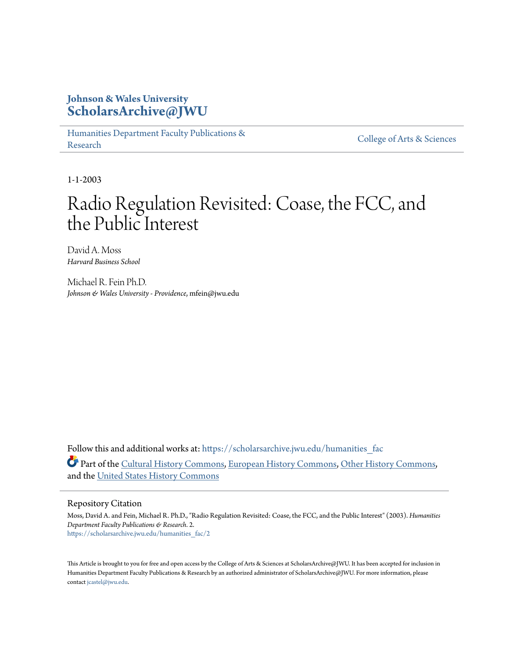## **Johnson & Wales University [ScholarsArchive@JWU](https://scholarsarchive.jwu.edu?utm_source=scholarsarchive.jwu.edu%2Fhumanities_fac%2F2&utm_medium=PDF&utm_campaign=PDFCoverPages)**

[Humanities Department Faculty Publications &](https://scholarsarchive.jwu.edu/humanities_fac?utm_source=scholarsarchive.jwu.edu%2Fhumanities_fac%2F2&utm_medium=PDF&utm_campaign=PDFCoverPages) rumanties Department Pacifity Publications & [College of Arts & Sciences](https://scholarsarchive.jwu.edu/arts_sciences?utm_source=scholarsarchive.jwu.edu%2Fhumanities_fac%2F2&utm_medium=PDF&utm_campaign=PDFCoverPages)

1-1-2003

# Radio Regulation Revisited: Coase, the FCC, and the Public Interest

David A. Moss *Harvard Business School*

Michael R. Fein Ph.D. *Johnson & Wales University - Providence*, mfein@jwu.edu

Follow this and additional works at: https://scholarsarchive.jwu.edu/humanities fac Part of the [Cultural History Commons,](http://network.bepress.com/hgg/discipline/496?utm_source=scholarsarchive.jwu.edu%2Fhumanities_fac%2F2&utm_medium=PDF&utm_campaign=PDFCoverPages) [European History Commons](http://network.bepress.com/hgg/discipline/492?utm_source=scholarsarchive.jwu.edu%2Fhumanities_fac%2F2&utm_medium=PDF&utm_campaign=PDFCoverPages), [Other History Commons](http://network.bepress.com/hgg/discipline/508?utm_source=scholarsarchive.jwu.edu%2Fhumanities_fac%2F2&utm_medium=PDF&utm_campaign=PDFCoverPages), and the [United States History Commons](http://network.bepress.com/hgg/discipline/495?utm_source=scholarsarchive.jwu.edu%2Fhumanities_fac%2F2&utm_medium=PDF&utm_campaign=PDFCoverPages)

Repository Citation

Moss, David A. and Fein, Michael R. Ph.D., "Radio Regulation Revisited: Coase, the FCC, and the Public Interest" (2003). *Humanities Department Faculty Publications & Research*. 2. [https://scholarsarchive.jwu.edu/humanities\\_fac/2](https://scholarsarchive.jwu.edu/humanities_fac/2?utm_source=scholarsarchive.jwu.edu%2Fhumanities_fac%2F2&utm_medium=PDF&utm_campaign=PDFCoverPages)

This Article is brought to you for free and open access by the College of Arts & Sciences at ScholarsArchive@JWU. It has been accepted for inclusion in Humanities Department Faculty Publications & Research by an authorized administrator of ScholarsArchive@JWU. For more information, please contact [jcastel@jwu.edu.](mailto:jcastel@jwu.edu)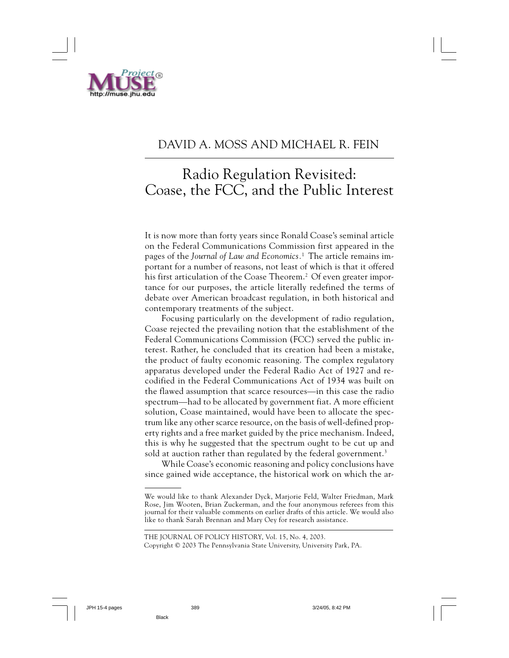

### DAVID A. MOSS AND MICHAEL R. FEIN

# Radio Regulation Revisited: Coase, the FCC, and the Public Interest

It is now more than forty years since Ronald Coase's seminal article on the Federal Communications Commission first appeared in the pages of the *Journal of Law and Economics.*1 The article remains important for a number of reasons, not least of which is that it offered his first articulation of the Coase Theorem.<sup>2</sup> Of even greater importance for our purposes, the article literally redefined the terms of debate over American broadcast regulation, in both historical and contemporary treatments of the subject.

Focusing particularly on the development of radio regulation, Coase rejected the prevailing notion that the establishment of the Federal Communications Commission (FCC) served the public interest. Rather, he concluded that its creation had been a mistake, the product of faulty economic reasoning. The complex regulatory apparatus developed under the Federal Radio Act of 1927 and recodified in the Federal Communications Act of 1934 was built on the flawed assumption that scarce resources—in this case the radio spectrum—had to be allocated by government fiat. A more efficient solution, Coase maintained, would have been to allocate the spectrum like any other scarce resource, on the basis of well-defined property rights and a free market guided by the price mechanism. Indeed, this is why he suggested that the spectrum ought to be cut up and sold at auction rather than regulated by the federal government.<sup>3</sup>

While Coase's economic reasoning and policy conclusions have since gained wide acceptance, the historical work on which the ar-

We would like to thank Alexander Dyck, Marjorie Feld, Walter Friedman, Mark Rose, Jim Wooten, Brian Zuckerman, and the four anonymous referees from this journal for their valuable comments on earlier drafts of this article. We would also like to thank Sarah Brennan and Mary Oey for research assistance.

THE JOURNAL OF POLICY HISTORY, Vol. 15, No. 4, 2003.

Copyright © 2003 The Pennsylvania State University, University Park, PA.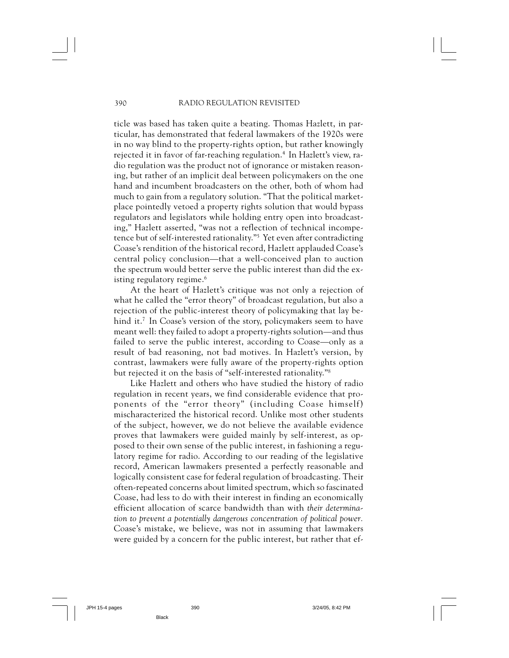ticle was based has taken quite a beating. Thomas Hazlett, in particular, has demonstrated that federal lawmakers of the 1920s were in no way blind to the property-rights option, but rather knowingly rejected it in favor of far-reaching regulation.<sup>4</sup> In Hazlett's view, radio regulation was the product not of ignorance or mistaken reasoning, but rather of an implicit deal between policymakers on the one hand and incumbent broadcasters on the other, both of whom had much to gain from a regulatory solution. "That the political marketplace pointedly vetoed a property rights solution that would bypass regulators and legislators while holding entry open into broadcasting," Hazlett asserted, "was not a reflection of technical incompetence but of self-interested rationality."5 Yet even after contradicting Coase's rendition of the historical record, Hazlett applauded Coase's central policy conclusion—that a well-conceived plan to auction the spectrum would better serve the public interest than did the existing regulatory regime.<sup>6</sup>

At the heart of Hazlett's critique was not only a rejection of what he called the "error theory" of broadcast regulation, but also a rejection of the public-interest theory of policymaking that lay behind it.<sup>7</sup> In Coase's version of the story, policymakers seem to have meant well: they failed to adopt a property-rights solution—and thus failed to serve the public interest, according to Coase—only as a result of bad reasoning, not bad motives. In Hazlett's version, by contrast, lawmakers were fully aware of the property-rights option but rejected it on the basis of "self-interested rationality."8

Like Hazlett and others who have studied the history of radio regulation in recent years, we find considerable evidence that proponents of the "error theory" (including Coase himself) mischaracterized the historical record. Unlike most other students of the subject, however, we do not believe the available evidence proves that lawmakers were guided mainly by self-interest, as opposed to their own sense of the public interest, in fashioning a regulatory regime for radio. According to our reading of the legislative record, American lawmakers presented a perfectly reasonable and logically consistent case for federal regulation of broadcasting. Their often-repeated concerns about limited spectrum, which so fascinated Coase, had less to do with their interest in finding an economically efficient allocation of scarce bandwidth than with *their determination to prevent a potentially dangerous concentration of political power.* Coase's mistake, we believe, was not in assuming that lawmakers were guided by a concern for the public interest, but rather that ef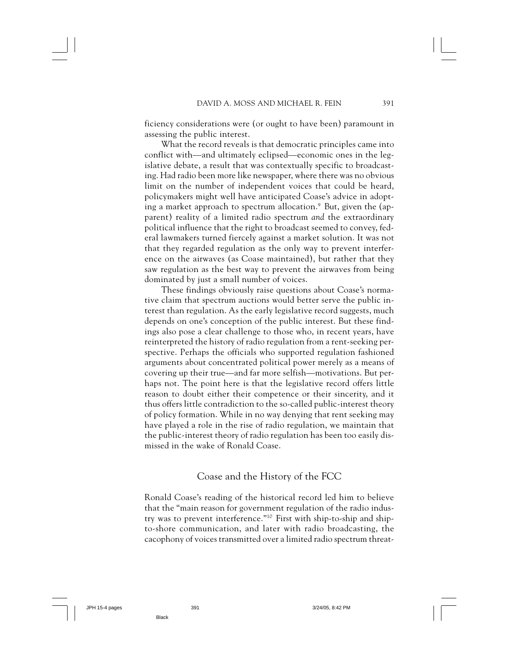ficiency considerations were (or ought to have been) paramount in assessing the public interest.

What the record reveals is that democratic principles came into conflict with—and ultimately eclipsed—economic ones in the legislative debate, a result that was contextually specific to broadcasting. Had radio been more like newspaper, where there was no obvious limit on the number of independent voices that could be heard, policymakers might well have anticipated Coase's advice in adopting a market approach to spectrum allocation.9 But, given the (apparent) reality of a limited radio spectrum *and* the extraordinary political influence that the right to broadcast seemed to convey, federal lawmakers turned fiercely against a market solution. It was not that they regarded regulation as the only way to prevent interference on the airwaves (as Coase maintained), but rather that they saw regulation as the best way to prevent the airwaves from being dominated by just a small number of voices.

These findings obviously raise questions about Coase's normative claim that spectrum auctions would better serve the public interest than regulation. As the early legislative record suggests, much depends on one's conception of the public interest. But these findings also pose a clear challenge to those who, in recent years, have reinterpreted the history of radio regulation from a rent-seeking perspective. Perhaps the officials who supported regulation fashioned arguments about concentrated political power merely as a means of covering up their true—and far more selfish—motivations. But perhaps not. The point here is that the legislative record offers little reason to doubt either their competence or their sincerity, and it thus offers little contradiction to the so-called public-interest theory of policy formation. While in no way denying that rent seeking may have played a role in the rise of radio regulation, we maintain that the public-interest theory of radio regulation has been too easily dismissed in the wake of Ronald Coase.

#### Coase and the History of the FCC

Ronald Coase's reading of the historical record led him to believe that the "main reason for government regulation of the radio industry was to prevent interference."10 First with ship-to-ship and shipto-shore communication, and later with radio broadcasting, the cacophony of voices transmitted over a limited radio spectrum threat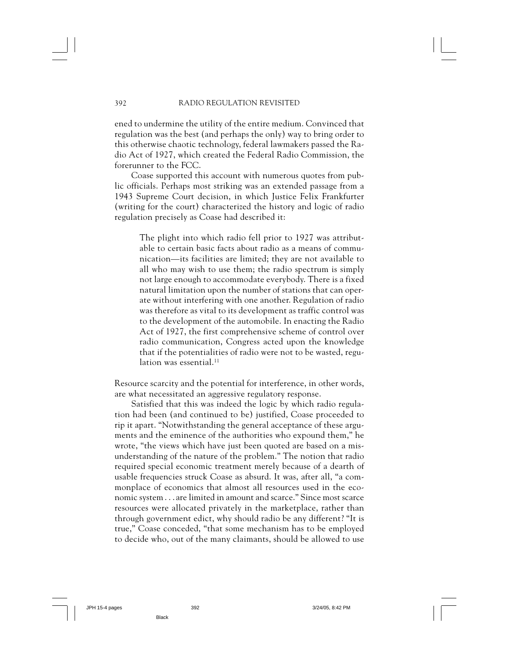ened to undermine the utility of the entire medium. Convinced that regulation was the best (and perhaps the only) way to bring order to this otherwise chaotic technology, federal lawmakers passed the Radio Act of 1927, which created the Federal Radio Commission, the forerunner to the FCC.

Coase supported this account with numerous quotes from public officials. Perhaps most striking was an extended passage from a 1943 Supreme Court decision, in which Justice Felix Frankfurter (writing for the court) characterized the history and logic of radio regulation precisely as Coase had described it:

The plight into which radio fell prior to 1927 was attributable to certain basic facts about radio as a means of communication—its facilities are limited; they are not available to all who may wish to use them; the radio spectrum is simply not large enough to accommodate everybody. There is a fixed natural limitation upon the number of stations that can operate without interfering with one another. Regulation of radio was therefore as vital to its development as traffic control was to the development of the automobile. In enacting the Radio Act of 1927, the first comprehensive scheme of control over radio communication, Congress acted upon the knowledge that if the potentialities of radio were not to be wasted, regulation was essential. $11$ 

Resource scarcity and the potential for interference, in other words, are what necessitated an aggressive regulatory response.

Satisfied that this was indeed the logic by which radio regulation had been (and continued to be) justified, Coase proceeded to rip it apart. "Notwithstanding the general acceptance of these arguments and the eminence of the authorities who expound them," he wrote, "the views which have just been quoted are based on a misunderstanding of the nature of the problem." The notion that radio required special economic treatment merely because of a dearth of usable frequencies struck Coase as absurd. It was, after all, "a commonplace of economics that almost all resources used in the economic system . . . are limited in amount and scarce." Since most scarce resources were allocated privately in the marketplace, rather than through government edict, why should radio be any different? "It is true," Coase conceded, "that some mechanism has to be employed to decide who, out of the many claimants, should be allowed to use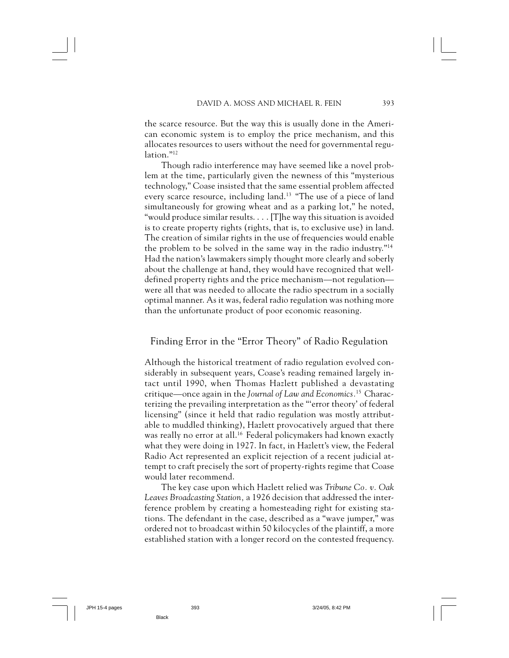the scarce resource. But the way this is usually done in the American economic system is to employ the price mechanism, and this allocates resources to users without the need for governmental regulation."<sup>12</sup>

Though radio interference may have seemed like a novel problem at the time, particularly given the newness of this "mysterious technology," Coase insisted that the same essential problem affected every scarce resource, including land.<sup>13</sup> "The use of a piece of land simultaneously for growing wheat and as a parking lot," he noted, "would produce similar results. . . . [T]he way this situation is avoided is to create property rights (rights, that is, to exclusive use) in land. The creation of similar rights in the use of frequencies would enable the problem to be solved in the same way in the radio industry."14 Had the nation's lawmakers simply thought more clearly and soberly about the challenge at hand, they would have recognized that welldefined property rights and the price mechanism—not regulation were all that was needed to allocate the radio spectrum in a socially optimal manner. As it was, federal radio regulation was nothing more than the unfortunate product of poor economic reasoning.

#### Finding Error in the "Error Theory" of Radio Regulation

Although the historical treatment of radio regulation evolved considerably in subsequent years, Coase's reading remained largely intact until 1990, when Thomas Hazlett published a devastating critique—once again in the *Journal of Law and Economics.*15 Characterizing the prevailing interpretation as the "'error theory' of federal licensing" (since it held that radio regulation was mostly attributable to muddled thinking), Hazlett provocatively argued that there was really no error at all.<sup>16</sup> Federal policymakers had known exactly what they were doing in 1927. In fact, in Hazlett's view, the Federal Radio Act represented an explicit rejection of a recent judicial attempt to craft precisely the sort of property-rights regime that Coase would later recommend.

The key case upon which Hazlett relied was *Tribune Co. v. Oak Leaves Broadcasting Station,* a 1926 decision that addressed the interference problem by creating a homesteading right for existing stations. The defendant in the case, described as a "wave jumper," was ordered not to broadcast within 50 kilocycles of the plaintiff, a more established station with a longer record on the contested frequency.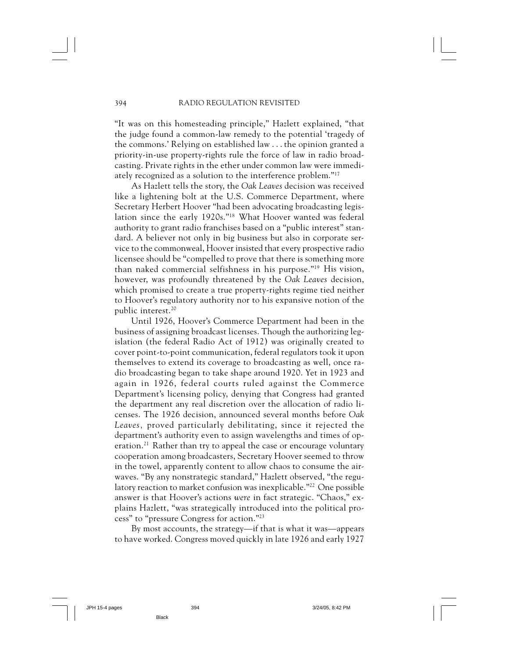"It was on this homesteading principle," Hazlett explained, "that the judge found a common-law remedy to the potential 'tragedy of the commons.' Relying on established law . . . the opinion granted a priority-in-use property-rights rule the force of law in radio broadcasting. Private rights in the ether under common law were immediately recognized as a solution to the interference problem."17

As Hazlett tells the story, the *Oak Leaves* decision was received like a lightening bolt at the U.S. Commerce Department, where Secretary Herbert Hoover "had been advocating broadcasting legislation since the early 1920s."18 What Hoover wanted was federal authority to grant radio franchises based on a "public interest" standard. A believer not only in big business but also in corporate service to the commonweal, Hoover insisted that every prospective radio licensee should be "compelled to prove that there is something more than naked commercial selfishness in his purpose."19 His vision, however, was profoundly threatened by the *Oak Leaves* decision, which promised to create a true property-rights regime tied neither to Hoover's regulatory authority nor to his expansive notion of the public interest.20

Until 1926, Hoover's Commerce Department had been in the business of assigning broadcast licenses. Though the authorizing legislation (the federal Radio Act of 1912) was originally created to cover point-to-point communication, federal regulators took it upon themselves to extend its coverage to broadcasting as well, once radio broadcasting began to take shape around 1920. Yet in 1923 and again in 1926, federal courts ruled against the Commerce Department's licensing policy, denying that Congress had granted the department any real discretion over the allocation of radio licenses. The 1926 decision, announced several months before *Oak Leaves,* proved particularly debilitating, since it rejected the department's authority even to assign wavelengths and times of operation.<sup>21</sup> Rather than try to appeal the case or encourage voluntary cooperation among broadcasters, Secretary Hoover seemed to throw in the towel, apparently content to allow chaos to consume the airwaves. "By any nonstrategic standard," Hazlett observed, "the regulatory reaction to market confusion was inexplicable."22 One possible answer is that Hoover's actions *were* in fact strategic. "Chaos," explains Hazlett, "was strategically introduced into the political process" to "pressure Congress for action."23

By most accounts, the strategy—if that is what it was—appears to have worked. Congress moved quickly in late 1926 and early 1927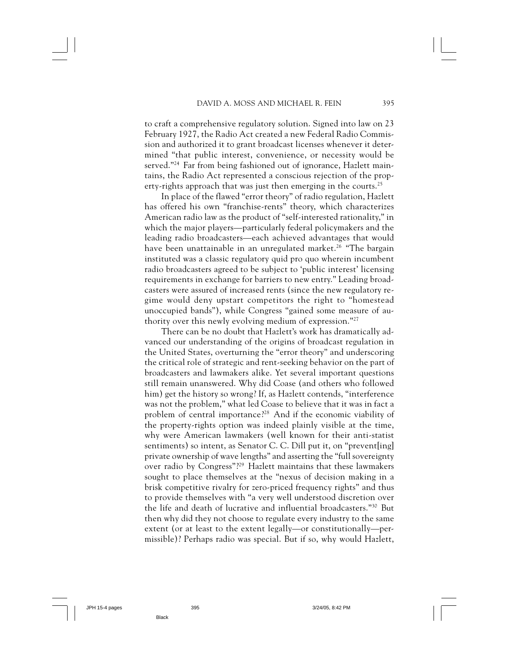to craft a comprehensive regulatory solution. Signed into law on 23 February 1927, the Radio Act created a new Federal Radio Commission and authorized it to grant broadcast licenses whenever it determined "that public interest, convenience, or necessity would be served."<sup>24</sup> Far from being fashioned out of ignorance, Hazlett maintains, the Radio Act represented a conscious rejection of the property-rights approach that was just then emerging in the courts.<sup>25</sup>

In place of the flawed "error theory" of radio regulation, Hazlett has offered his own "franchise-rents" theory, which characterizes American radio law as the product of "self-interested rationality," in which the major players—particularly federal policymakers and the leading radio broadcasters—each achieved advantages that would have been unattainable in an unregulated market.<sup>26</sup> "The bargain instituted was a classic regulatory quid pro quo wherein incumbent radio broadcasters agreed to be subject to 'public interest' licensing requirements in exchange for barriers to new entry." Leading broadcasters were assured of increased rents (since the new regulatory regime would deny upstart competitors the right to "homestead unoccupied bands"), while Congress "gained some measure of authority over this newly evolving medium of expression."27

There can be no doubt that Hazlett's work has dramatically advanced our understanding of the origins of broadcast regulation in the United States, overturning the "error theory" and underscoring the critical role of strategic and rent-seeking behavior on the part of broadcasters and lawmakers alike. Yet several important questions still remain unanswered. Why did Coase (and others who followed him) get the history so wrong? If, as Hazlett contends, "interference was not the problem," what led Coase to believe that it was in fact a problem of central importance?<sup>28</sup> And if the economic viability of the property-rights option was indeed plainly visible at the time, why were American lawmakers (well known for their anti-statist sentiments) so intent, as Senator C. C. Dill put it, on "prevent[ing] private ownership of wave lengths" and asserting the "full sovereignty over radio by Congress"?29 Hazlett maintains that these lawmakers sought to place themselves at the "nexus of decision making in a brisk competitive rivalry for zero-priced frequency rights" and thus to provide themselves with "a very well understood discretion over the life and death of lucrative and influential broadcasters."30 But then why did they not choose to regulate every industry to the same extent (or at least to the extent legally—or constitutionally—permissible)? Perhaps radio was special. But if so, why would Hazlett,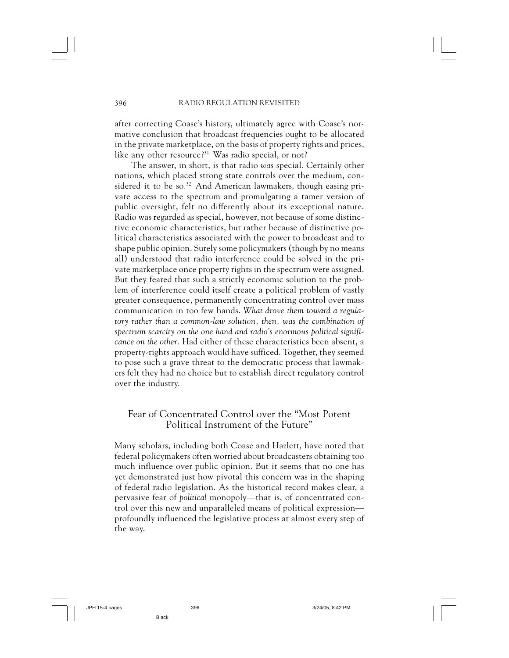after correcting Coase's history, ultimately agree with Coase's normative conclusion that broadcast frequencies ought to be allocated in the private marketplace, on the basis of property rights and prices, like any other resource?<sup>31</sup> Was radio special, or not?

The answer, in short, is that radio *was* special. Certainly other nations, which placed strong state controls over the medium, considered it to be so.<sup>32</sup> And American lawmakers, though easing private access to the spectrum and promulgating a tamer version of public oversight, felt no differently about its exceptional nature. Radio was regarded as special, however, not because of some distinctive economic characteristics, but rather because of distinctive political characteristics associated with the power to broadcast and to shape public opinion. Surely some policymakers (though by no means all) understood that radio interference could be solved in the private marketplace once property rights in the spectrum were assigned. But they feared that such a strictly economic solution to the problem of interference could itself create a political problem of vastly greater consequence, permanently concentrating control over mass communication in too few hands. *What drove them toward a regulatory rather than a common-law solution, then, was the combination of spectrum scarcity on the one hand and radio's enormous political significance on the other.* Had either of these characteristics been absent, a property-rights approach would have sufficed. Together, they seemed to pose such a grave threat to the democratic process that lawmakers felt they had no choice but to establish direct regulatory control over the industry.

#### Fear of Concentrated Control over the "Most Potent Political Instrument of the Future"

Many scholars, including both Coase and Hazlett, have noted that federal policymakers often worried about broadcasters obtaining too much influence over public opinion. But it seems that no one has yet demonstrated just how pivotal this concern was in the shaping of federal radio legislation. As the historical record makes clear, a pervasive fear of *political* monopoly—that is, of concentrated control over this new and unparalleled means of political expression profoundly influenced the legislative process at almost every step of the way.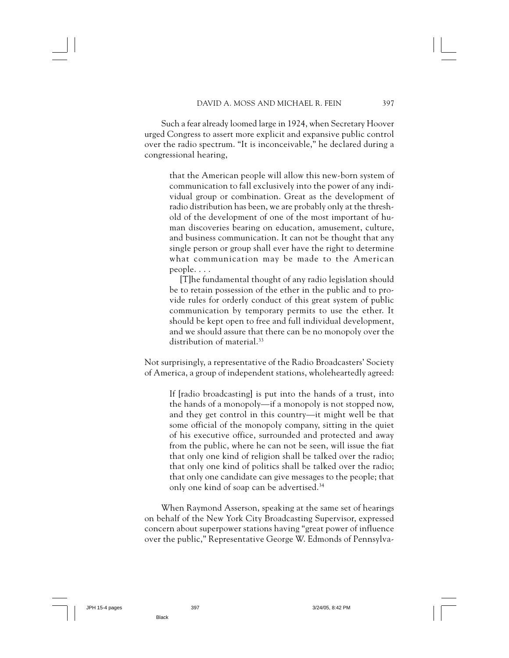Such a fear already loomed large in 1924, when Secretary Hoover urged Congress to assert more explicit and expansive public control over the radio spectrum. "It is inconceivable," he declared during a congressional hearing,

that the American people will allow this new-born system of communication to fall exclusively into the power of any individual group or combination. Great as the development of radio distribution has been, we are probably only at the threshold of the development of one of the most important of human discoveries bearing on education, amusement, culture, and business communication. It can not be thought that any single person or group shall ever have the right to determine what communication may be made to the American people....

 [T]he fundamental thought of any radio legislation should be to retain possession of the ether in the public and to provide rules for orderly conduct of this great system of public communication by temporary permits to use the ether. It should be kept open to free and full individual development, and we should assure that there can be no monopoly over the distribution of material.<sup>33</sup>

Not surprisingly, a representative of the Radio Broadcasters' Society of America, a group of independent stations, wholeheartedly agreed:

If [radio broadcasting] is put into the hands of a trust, into the hands of a monopoly—if a monopoly is not stopped now, and they get control in this country—it might well be that some official of the monopoly company, sitting in the quiet of his executive office, surrounded and protected and away from the public, where he can not be seen, will issue the fiat that only one kind of religion shall be talked over the radio; that only one kind of politics shall be talked over the radio; that only one candidate can give messages to the people; that only one kind of soap can be advertised.34

When Raymond Asserson, speaking at the same set of hearings on behalf of the New York City Broadcasting Supervisor, expressed concern about superpower stations having "great power of influence over the public," Representative George W. Edmonds of Pennsylva-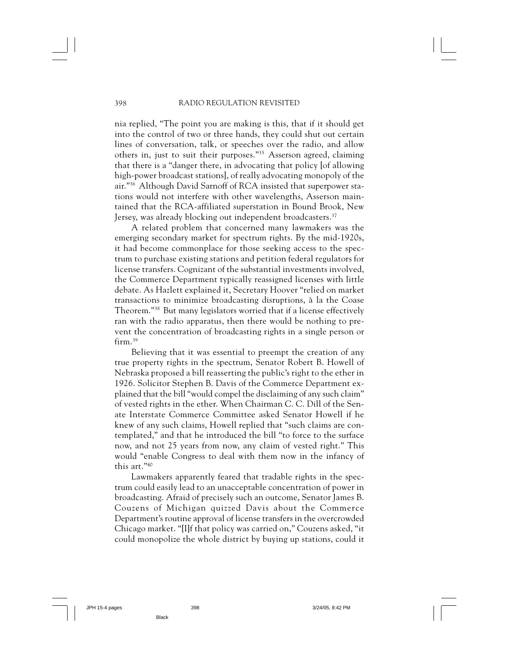nia replied, "The point you are making is this, that if it should get into the control of two or three hands, they could shut out certain lines of conversation, talk, or speeches over the radio, and allow others in, just to suit their purposes."35 Asserson agreed, claiming that there is a "danger there, in advocating that policy [of allowing high-power broadcast stations], of really advocating monopoly of the air."36 Although David Sarnoff of RCA insisted that superpower stations would not interfere with other wavelengths, Asserson maintained that the RCA-affiliated superstation in Bound Brook, New Jersey, was already blocking out independent broadcasters.37

A related problem that concerned many lawmakers was the emerging secondary market for spectrum rights. By the mid-1920s, it had become commonplace for those seeking access to the spectrum to purchase existing stations and petition federal regulators for license transfers. Cognizant of the substantial investments involved, the Commerce Department typically reassigned licenses with little debate. As Hazlett explained it, Secretary Hoover "relied on market transactions to minimize broadcasting disruptions, à la the Coase Theorem."38 But many legislators worried that if a license effectively ran with the radio apparatus, then there would be nothing to prevent the concentration of broadcasting rights in a single person or firm.<sup>39</sup>

Believing that it was essential to preempt the creation of any true property rights in the spectrum, Senator Robert B. Howell of Nebraska proposed a bill reasserting the public's right to the ether in 1926. Solicitor Stephen B. Davis of the Commerce Department explained that the bill "would compel the disclaiming of any such claim" of vested rights in the ether. When Chairman C. C. Dill of the Senate Interstate Commerce Committee asked Senator Howell if he knew of any such claims, Howell replied that "such claims are contemplated," and that he introduced the bill "to force to the surface now, and not 25 years from now, any claim of vested right." This would "enable Congress to deal with them now in the infancy of this art."40

Lawmakers apparently feared that tradable rights in the spectrum could easily lead to an unacceptable concentration of power in broadcasting. Afraid of precisely such an outcome, Senator James B. Couzens of Michigan quizzed Davis about the Commerce Department's routine approval of license transfers in the overcrowded Chicago market. "[I]f that policy was carried on," Couzens asked, "it could monopolize the whole district by buying up stations, could it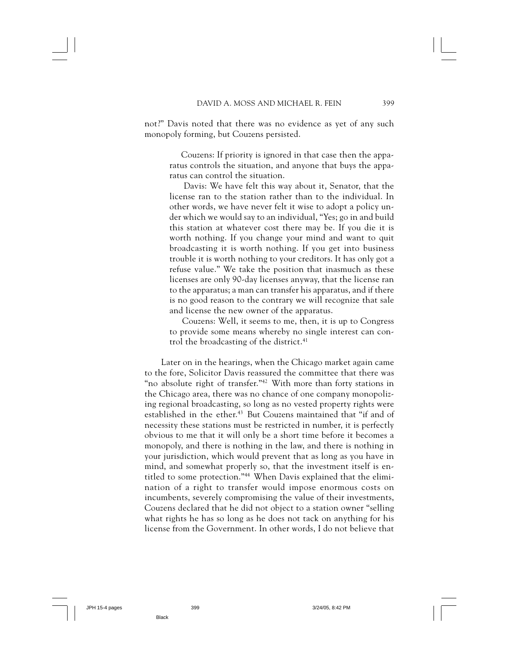not?" Davis noted that there was no evidence as yet of any such monopoly forming, but Couzens persisted.

 Couzens: If priority is ignored in that case then the apparatus controls the situation, and anyone that buys the apparatus can control the situation.

 Davis: We have felt this way about it, Senator, that the license ran to the station rather than to the individual. In other words, we have never felt it wise to adopt a policy under which we would say to an individual, "Yes; go in and build this station at whatever cost there may be. If you die it is worth nothing. If you change your mind and want to quit broadcasting it is worth nothing. If you get into business trouble it is worth nothing to your creditors. It has only got a refuse value." We take the position that inasmuch as these licenses are only 90-day licenses anyway, that the license ran to the apparatus; a man can transfer his apparatus, and if there is no good reason to the contrary we will recognize that sale and license the new owner of the apparatus.

 Couzens: Well, it seems to me, then, it is up to Congress to provide some means whereby no single interest can control the broadcasting of the district.<sup>41</sup>

Later on in the hearings, when the Chicago market again came to the fore, Solicitor Davis reassured the committee that there was "no absolute right of transfer."42 With more than forty stations in the Chicago area, there was no chance of one company monopolizing regional broadcasting, so long as no vested property rights were established in the ether.<sup>43</sup> But Couzens maintained that "if and of necessity these stations must be restricted in number, it is perfectly obvious to me that it will only be a short time before it becomes a monopoly, and there is nothing in the law, and there is nothing in your jurisdiction, which would prevent that as long as you have in mind, and somewhat properly so, that the investment itself is entitled to some protection."44 When Davis explained that the elimination of a right to transfer would impose enormous costs on incumbents, severely compromising the value of their investments, Couzens declared that he did not object to a station owner "selling what rights he has so long as he does not tack on anything for his license from the Government. In other words, I do not believe that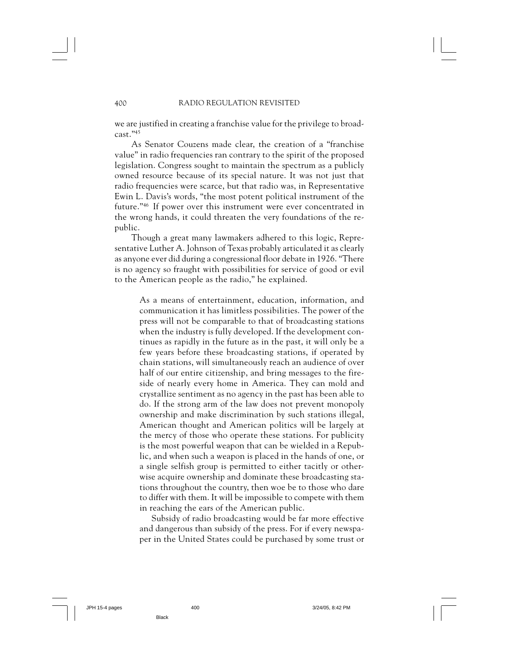we are justified in creating a franchise value for the privilege to broadcast."45

As Senator Couzens made clear, the creation of a "franchise value" in radio frequencies ran contrary to the spirit of the proposed legislation. Congress sought to maintain the spectrum as a publicly owned resource because of its special nature. It was not just that radio frequencies were scarce, but that radio was, in Representative Ewin L. Davis's words, "the most potent political instrument of the future."46 If power over this instrument were ever concentrated in the wrong hands, it could threaten the very foundations of the republic.

Though a great many lawmakers adhered to this logic, Representative Luther A. Johnson of Texas probably articulated it as clearly as anyone ever did during a congressional floor debate in 1926. "There is no agency so fraught with possibilities for service of good or evil to the American people as the radio," he explained.

> As a means of entertainment, education, information, and communication it has limitless possibilities. The power of the press will not be comparable to that of broadcasting stations when the industry is fully developed. If the development continues as rapidly in the future as in the past, it will only be a few years before these broadcasting stations, if operated by chain stations, will simultaneously reach an audience of over half of our entire citizenship, and bring messages to the fireside of nearly every home in America. They can mold and crystallize sentiment as no agency in the past has been able to do. If the strong arm of the law does not prevent monopoly ownership and make discrimination by such stations illegal, American thought and American politics will be largely at the mercy of those who operate these stations. For publicity is the most powerful weapon that can be wielded in a Republic, and when such a weapon is placed in the hands of one, or a single selfish group is permitted to either tacitly or otherwise acquire ownership and dominate these broadcasting stations throughout the country, then woe be to those who dare to differ with them. It will be impossible to compete with them in reaching the ears of the American public.

> Subsidy of radio broadcasting would be far more effective and dangerous than subsidy of the press. For if every newspaper in the United States could be purchased by some trust or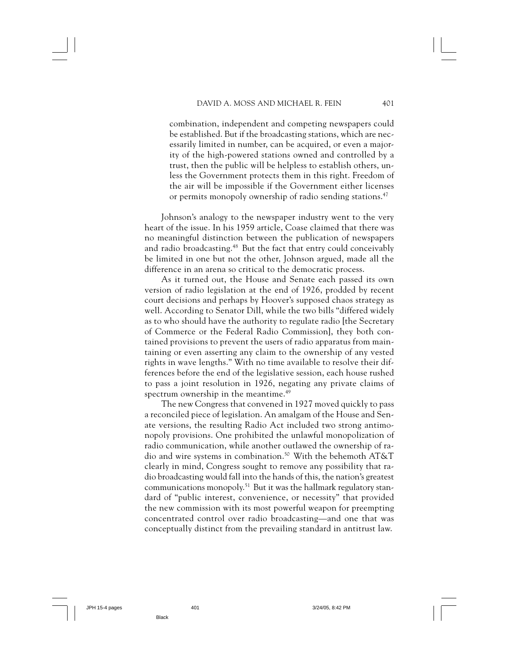combination, independent and competing newspapers could be established. But if the broadcasting stations, which are necessarily limited in number, can be acquired, or even a majority of the high-powered stations owned and controlled by a trust, then the public will be helpless to establish others, unless the Government protects them in this right. Freedom of the air will be impossible if the Government either licenses or permits monopoly ownership of radio sending stations.<sup>47</sup>

Johnson's analogy to the newspaper industry went to the very heart of the issue. In his 1959 article, Coase claimed that there was no meaningful distinction between the publication of newspapers and radio broadcasting.<sup>48</sup> But the fact that entry could conceivably be limited in one but not the other, Johnson argued, made all the difference in an arena so critical to the democratic process.

As it turned out, the House and Senate each passed its own version of radio legislation at the end of 1926, prodded by recent court decisions and perhaps by Hoover's supposed chaos strategy as well. According to Senator Dill, while the two bills "differed widely as to who should have the authority to regulate radio [the Secretary of Commerce or the Federal Radio Commission], they both contained provisions to prevent the users of radio apparatus from maintaining or even asserting any claim to the ownership of any vested rights in wave lengths." With no time available to resolve their differences before the end of the legislative session, each house rushed to pass a joint resolution in 1926, negating any private claims of spectrum ownership in the meantime.<sup>49</sup>

The new Congress that convened in 1927 moved quickly to pass a reconciled piece of legislation. An amalgam of the House and Senate versions, the resulting Radio Act included two strong antimonopoly provisions. One prohibited the unlawful monopolization of radio communication, while another outlawed the ownership of radio and wire systems in combination.<sup>50</sup> With the behemoth AT&T clearly in mind, Congress sought to remove any possibility that radio broadcasting would fall into the hands of this, the nation's greatest communications monopoly.51 But it was the hallmark regulatory standard of "public interest, convenience, or necessity" that provided the new commission with its most powerful weapon for preempting concentrated control over radio broadcasting—and one that was conceptually distinct from the prevailing standard in antitrust law.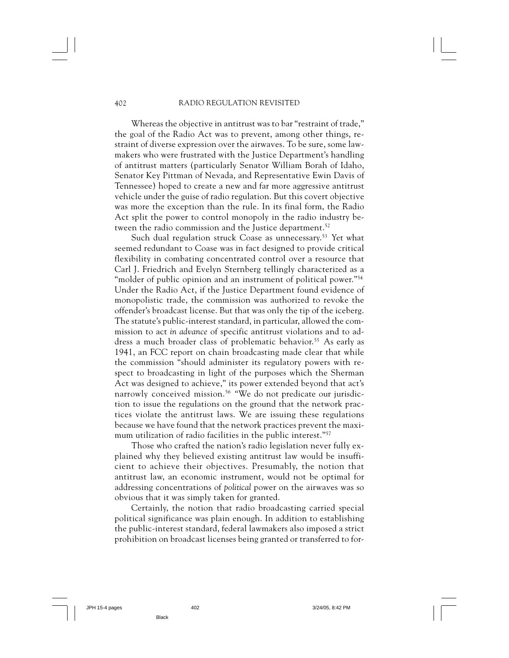Whereas the objective in antitrust was to bar "restraint of trade," the goal of the Radio Act was to prevent, among other things, restraint of diverse expression over the airwaves. To be sure, some lawmakers who were frustrated with the Justice Department's handling of antitrust matters (particularly Senator William Borah of Idaho, Senator Key Pittman of Nevada, and Representative Ewin Davis of Tennessee) hoped to create a new and far more aggressive antitrust vehicle under the guise of radio regulation. But this covert objective was more the exception than the rule. In its final form, the Radio Act split the power to control monopoly in the radio industry between the radio commission and the Justice department.<sup>52</sup>

Such dual regulation struck Coase as unnecessary.<sup>53</sup> Yet what seemed redundant to Coase was in fact designed to provide critical flexibility in combating concentrated control over a resource that Carl J. Friedrich and Evelyn Sternberg tellingly characterized as a "molder of public opinion and an instrument of political power."54 Under the Radio Act, if the Justice Department found evidence of monopolistic trade, the commission was authorized to revoke the offender's broadcast license. But that was only the tip of the iceberg. The statute's public-interest standard, in particular, allowed the commission to act *in advance* of specific antitrust violations and to address a much broader class of problematic behavior.<sup>55</sup> As early as 1941, an FCC report on chain broadcasting made clear that while the commission "should administer its regulatory powers with respect to broadcasting in light of the purposes which the Sherman Act was designed to achieve," its power extended beyond that act's narrowly conceived mission.<sup>56</sup> "We do not predicate our jurisdiction to issue the regulations on the ground that the network practices violate the antitrust laws. We are issuing these regulations because we have found that the network practices prevent the maximum utilization of radio facilities in the public interest."57

Those who crafted the nation's radio legislation never fully explained why they believed existing antitrust law would be insufficient to achieve their objectives. Presumably, the notion that antitrust law, an economic instrument, would not be optimal for addressing concentrations of *political* power on the airwaves was so obvious that it was simply taken for granted.

Certainly, the notion that radio broadcasting carried special political significance was plain enough. In addition to establishing the public-interest standard, federal lawmakers also imposed a strict prohibition on broadcast licenses being granted or transferred to for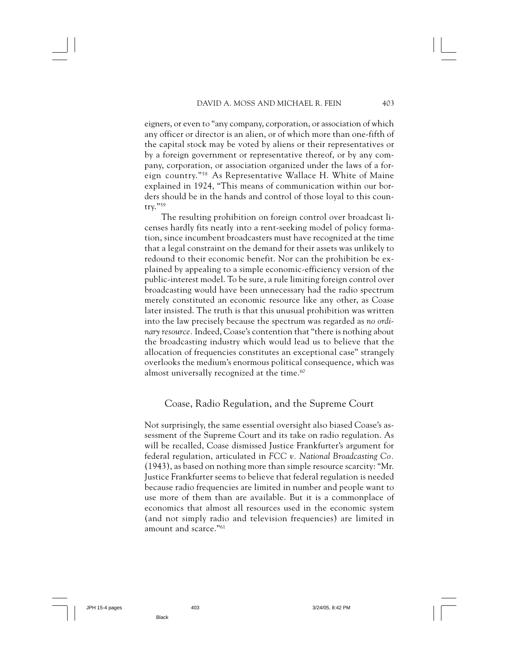eigners, or even to "any company, corporation, or association of which any officer or director is an alien, or of which more than one-fifth of the capital stock may be voted by aliens or their representatives or by a foreign government or representative thereof, or by any company, corporation, or association organized under the laws of a foreign country."58 As Representative Wallace H. White of Maine explained in 1924, "This means of communication within our borders should be in the hands and control of those loyal to this country."59

The resulting prohibition on foreign control over broadcast licenses hardly fits neatly into a rent-seeking model of policy formation, since incumbent broadcasters must have recognized at the time that a legal constraint on the demand for their assets was unlikely to redound to their economic benefit. Nor can the prohibition be explained by appealing to a simple economic-efficiency version of the public-interest model. To be sure, a rule limiting foreign control over broadcasting would have been unnecessary had the radio spectrum merely constituted an economic resource like any other, as Coase later insisted. The truth is that this unusual prohibition was written into the law precisely because the spectrum was regarded as *no ordinary resource.* Indeed, Coase's contention that "there is nothing about the broadcasting industry which would lead us to believe that the allocation of frequencies constitutes an exceptional case" strangely overlooks the medium's enormous political consequence, which was almost universally recognized at the time.<sup>60</sup>

#### Coase, Radio Regulation, and the Supreme Court

Not surprisingly, the same essential oversight also biased Coase's assessment of the Supreme Court and its take on radio regulation. As will be recalled, Coase dismissed Justice Frankfurter's argument for federal regulation, articulated in *FCC v. National Broadcasting Co.* (1943), as based on nothing more than simple resource scarcity: "Mr. Justice Frankfurter seems to believe that federal regulation is needed because radio frequencies are limited in number and people want to use more of them than are available. But it is a commonplace of economics that almost all resources used in the economic system (and not simply radio and television frequencies) are limited in amount and scarce."61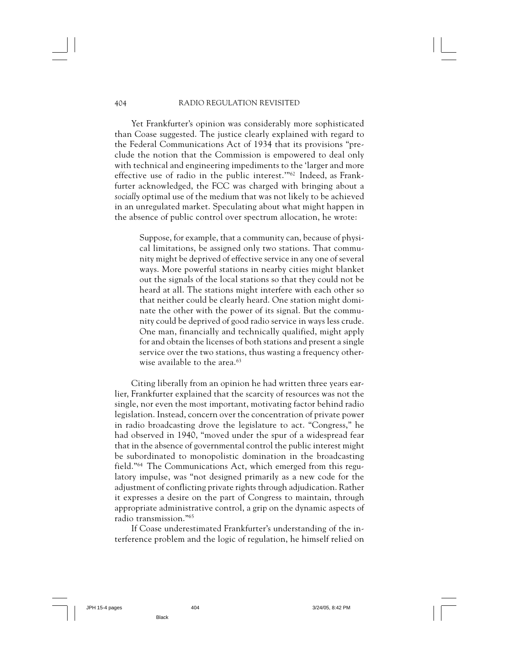Yet Frankfurter's opinion was considerably more sophisticated than Coase suggested. The justice clearly explained with regard to the Federal Communications Act of 1934 that its provisions "preclude the notion that the Commission is empowered to deal only with technical and engineering impediments to the 'larger and more effective use of radio in the public interest.'"62 Indeed, as Frankfurter acknowledged, the FCC was charged with bringing about a *socially* optimal use of the medium that was not likely to be achieved in an unregulated market. Speculating about what might happen in the absence of public control over spectrum allocation, he wrote:

> Suppose, for example, that a community can, because of physical limitations, be assigned only two stations. That community might be deprived of effective service in any one of several ways. More powerful stations in nearby cities might blanket out the signals of the local stations so that they could not be heard at all. The stations might interfere with each other so that neither could be clearly heard. One station might dominate the other with the power of its signal. But the community could be deprived of good radio service in ways less crude. One man, financially and technically qualified, might apply for and obtain the licenses of both stations and present a single service over the two stations, thus wasting a frequency otherwise available to the area.<sup>63</sup>

Citing liberally from an opinion he had written three years earlier, Frankfurter explained that the scarcity of resources was not the single, nor even the most important, motivating factor behind radio legislation. Instead, concern over the concentration of private power in radio broadcasting drove the legislature to act. "Congress," he had observed in 1940, "moved under the spur of a widespread fear that in the absence of governmental control the public interest might be subordinated to monopolistic domination in the broadcasting field."64 The Communications Act, which emerged from this regulatory impulse, was "not designed primarily as a new code for the adjustment of conflicting private rights through adjudication. Rather it expresses a desire on the part of Congress to maintain, through appropriate administrative control, a grip on the dynamic aspects of radio transmission."65

If Coase underestimated Frankfurter's understanding of the interference problem and the logic of regulation, he himself relied on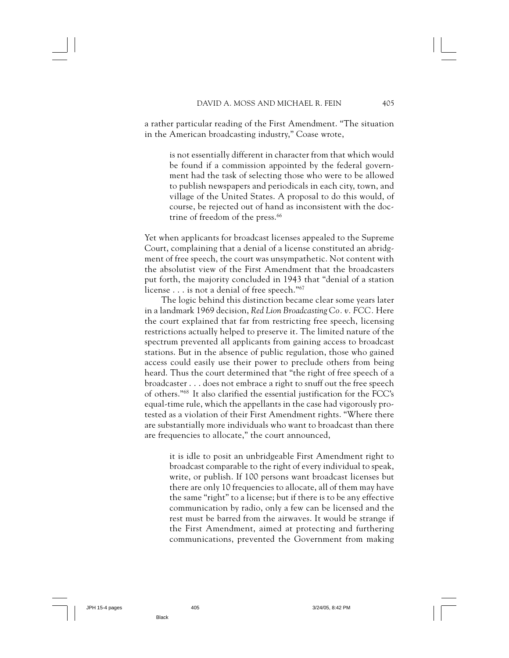a rather particular reading of the First Amendment. "The situation in the American broadcasting industry," Coase wrote,

is not essentially different in character from that which would be found if a commission appointed by the federal government had the task of selecting those who were to be allowed to publish newspapers and periodicals in each city, town, and village of the United States. A proposal to do this would, of course, be rejected out of hand as inconsistent with the doctrine of freedom of the press.<sup>66</sup>

Yet when applicants for broadcast licenses appealed to the Supreme Court, complaining that a denial of a license constituted an abridgment of free speech, the court was unsympathetic. Not content with the absolutist view of the First Amendment that the broadcasters put forth, the majority concluded in 1943 that "denial of a station license . . . is not a denial of free speech."67

The logic behind this distinction became clear some years later in a landmark 1969 decision, *Red Lion Broadcasting Co. v. FCC.* Here the court explained that far from restricting free speech, licensing restrictions actually helped to preserve it. The limited nature of the spectrum prevented all applicants from gaining access to broadcast stations. But in the absence of public regulation, those who gained access could easily use their power to preclude others from being heard. Thus the court determined that "the right of free speech of a broadcaster . . . does not embrace a right to snuff out the free speech of others."68 It also clarified the essential justification for the FCC's equal-time rule, which the appellants in the case had vigorously protested as a violation of their First Amendment rights. "Where there are substantially more individuals who want to broadcast than there are frequencies to allocate," the court announced,

> it is idle to posit an unbridgeable First Amendment right to broadcast comparable to the right of every individual to speak, write, or publish. If 100 persons want broadcast licenses but there are only 10 frequencies to allocate, all of them may have the same "right" to a license; but if there is to be any effective communication by radio, only a few can be licensed and the rest must be barred from the airwaves. It would be strange if the First Amendment, aimed at protecting and furthering communications, prevented the Government from making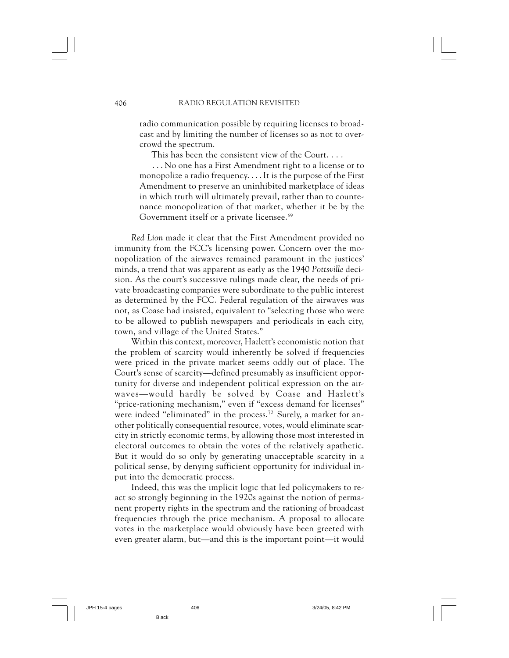radio communication possible by requiring licenses to broadcast and by limiting the number of licenses so as not to overcrowd the spectrum.

This has been the consistent view of the Court....

 . . . No one has a First Amendment right to a license or to monopolize a radio frequency. . . . It is the purpose of the First Amendment to preserve an uninhibited marketplace of ideas in which truth will ultimately prevail, rather than to countenance monopolization of that market, whether it be by the Government itself or a private licensee.<sup>69</sup>

*Red Lion* made it clear that the First Amendment provided no immunity from the FCC's licensing power. Concern over the monopolization of the airwaves remained paramount in the justices' minds, a trend that was apparent as early as the 1940 *Pottsville* decision. As the court's successive rulings made clear, the needs of private broadcasting companies were subordinate to the public interest as determined by the FCC. Federal regulation of the airwaves was not, as Coase had insisted, equivalent to "selecting those who were to be allowed to publish newspapers and periodicals in each city, town, and village of the United States."

Within this context, moreover, Hazlett's economistic notion that the problem of scarcity would inherently be solved if frequencies were priced in the private market seems oddly out of place. The Court's sense of scarcity—defined presumably as insufficient opportunity for diverse and independent political expression on the airwaves—would hardly be solved by Coase and Hazlett's "price-rationing mechanism," even if "excess demand for licenses" were indeed "eliminated" in the process.<sup>70</sup> Surely, a market for another politically consequential resource, votes, would eliminate scarcity in strictly economic terms, by allowing those most interested in electoral outcomes to obtain the votes of the relatively apathetic. But it would do so only by generating unacceptable scarcity in a political sense, by denying sufficient opportunity for individual input into the democratic process.

Indeed, this was the implicit logic that led policymakers to react so strongly beginning in the 1920s against the notion of permanent property rights in the spectrum and the rationing of broadcast frequencies through the price mechanism. A proposal to allocate votes in the marketplace would obviously have been greeted with even greater alarm, but—and this is the important point—it would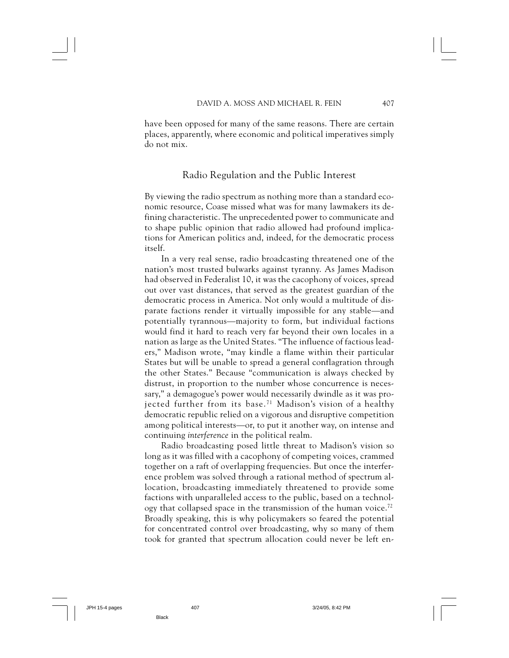have been opposed for many of the same reasons. There are certain places, apparently, where economic and political imperatives simply do not mix.

#### Radio Regulation and the Public Interest

By viewing the radio spectrum as nothing more than a standard economic resource, Coase missed what was for many lawmakers its defining characteristic. The unprecedented power to communicate and to shape public opinion that radio allowed had profound implications for American politics and, indeed, for the democratic process itself.

In a very real sense, radio broadcasting threatened one of the nation's most trusted bulwarks against tyranny. As James Madison had observed in Federalist 10, it was the cacophony of voices, spread out over vast distances, that served as the greatest guardian of the democratic process in America. Not only would a multitude of disparate factions render it virtually impossible for any stable—and potentially tyrannous—majority to form, but individual factions would find it hard to reach very far beyond their own locales in a nation as large as the United States. "The influence of factious leaders," Madison wrote, "may kindle a flame within their particular States but will be unable to spread a general conflagration through the other States." Because "communication is always checked by distrust, in proportion to the number whose concurrence is necessary," a demagogue's power would necessarily dwindle as it was projected further from its base.<sup>71</sup> Madison's vision of a healthy democratic republic relied on a vigorous and disruptive competition among political interests—or, to put it another way, on intense and continuing *interference* in the political realm.

Radio broadcasting posed little threat to Madison's vision so long as it was filled with a cacophony of competing voices, crammed together on a raft of overlapping frequencies. But once the interference problem was solved through a rational method of spectrum allocation, broadcasting immediately threatened to provide some factions with unparalleled access to the public, based on a technology that collapsed space in the transmission of the human voice.<sup>72</sup> Broadly speaking, this is why policymakers so feared the potential for concentrated control over broadcasting, why so many of them took for granted that spectrum allocation could never be left en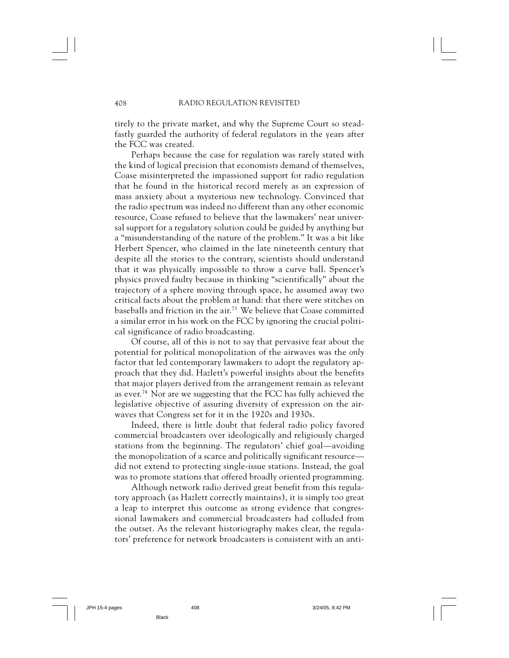tirely to the private market, and why the Supreme Court so steadfastly guarded the authority of federal regulators in the years after the FCC was created.

Perhaps because the case for regulation was rarely stated with the kind of logical precision that economists demand of themselves, Coase misinterpreted the impassioned support for radio regulation that he found in the historical record merely as an expression of mass anxiety about a mysterious new technology. Convinced that the radio spectrum was indeed no different than any other economic resource, Coase refused to believe that the lawmakers' near universal support for a regulatory solution could be guided by anything but a "misunderstanding of the nature of the problem." It was a bit like Herbert Spencer, who claimed in the late nineteenth century that despite all the stories to the contrary, scientists should understand that it was physically impossible to throw a curve ball. Spencer's physics proved faulty because in thinking "scientifically" about the trajectory of a sphere moving through space, he assumed away two critical facts about the problem at hand: that there were stitches on baseballs and friction in the air.73 We believe that Coase committed a similar error in his work on the FCC by ignoring the crucial political significance of radio broadcasting.

Of course, all of this is not to say that pervasive fear about the potential for political monopolization of the airwaves was the *only* factor that led contemporary lawmakers to adopt the regulatory approach that they did. Hazlett's powerful insights about the benefits that major players derived from the arrangement remain as relevant as ever.74 Nor are we suggesting that the FCC has fully achieved the legislative objective of assuring diversity of expression on the airwaves that Congress set for it in the 1920s and 1930s.

Indeed, there is little doubt that federal radio policy favored commercial broadcasters over ideologically and religiously charged stations from the beginning. The regulators' chief goal—avoiding the monopolization of a scarce and politically significant resource did not extend to protecting single-issue stations. Instead, the goal was to promote stations that offered broadly oriented programming.

Although network radio derived great benefit from this regulatory approach (as Hazlett correctly maintains), it is simply too great a leap to interpret this outcome as strong evidence that congressional lawmakers and commercial broadcasters had colluded from the outset. As the relevant historiography makes clear, the regulators' preference for network broadcasters is consistent with an anti-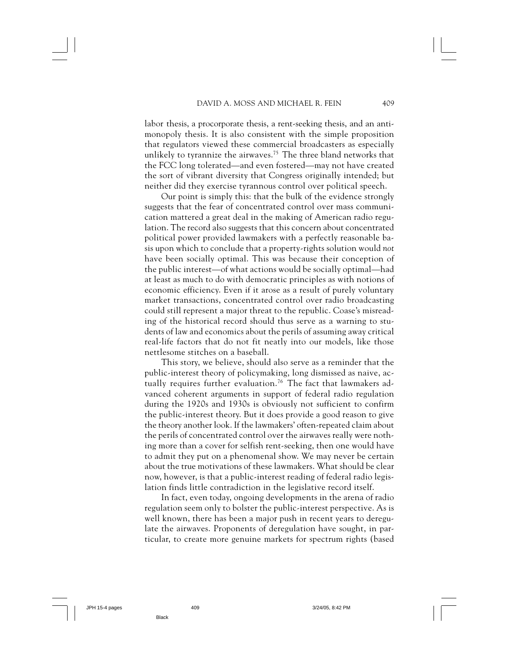labor thesis, a procorporate thesis, a rent-seeking thesis, and an antimonopoly thesis. It is also consistent with the simple proposition that regulators viewed these commercial broadcasters as especially unlikely to tyrannize the airwaves.<sup>75</sup> The three bland networks that the FCC long tolerated—and even fostered—may not have created the sort of vibrant diversity that Congress originally intended; but neither did they exercise tyrannous control over political speech.

Our point is simply this: that the bulk of the evidence strongly suggests that the fear of concentrated control over mass communication mattered a great deal in the making of American radio regulation. The record also suggests that this concern about concentrated political power provided lawmakers with a perfectly reasonable basis upon which to conclude that a property-rights solution would *not* have been socially optimal. This was because their conception of the public interest—of what actions would be socially optimal—had at least as much to do with democratic principles as with notions of economic efficiency. Even if it arose as a result of purely voluntary market transactions, concentrated control over radio broadcasting could still represent a major threat to the republic. Coase's misreading of the historical record should thus serve as a warning to students of law and economics about the perils of assuming away critical real-life factors that do not fit neatly into our models, like those nettlesome stitches on a baseball.

This story, we believe, should also serve as a reminder that the public-interest theory of policymaking, long dismissed as naive, actually requires further evaluation.<sup>76</sup> The fact that lawmakers advanced coherent arguments in support of federal radio regulation during the 1920s and 1930s is obviously not sufficient to confirm the public-interest theory. But it does provide a good reason to give the theory another look. If the lawmakers' often-repeated claim about the perils of concentrated control over the airwaves really were nothing more than a cover for selfish rent-seeking, then one would have to admit they put on a phenomenal show. We may never be certain about the true motivations of these lawmakers. What should be clear now, however, is that a public-interest reading of federal radio legislation finds little contradiction in the legislative record itself.

In fact, even today, ongoing developments in the arena of radio regulation seem only to bolster the public-interest perspective. As is well known, there has been a major push in recent years to deregulate the airwaves. Proponents of deregulation have sought, in particular, to create more genuine markets for spectrum rights (based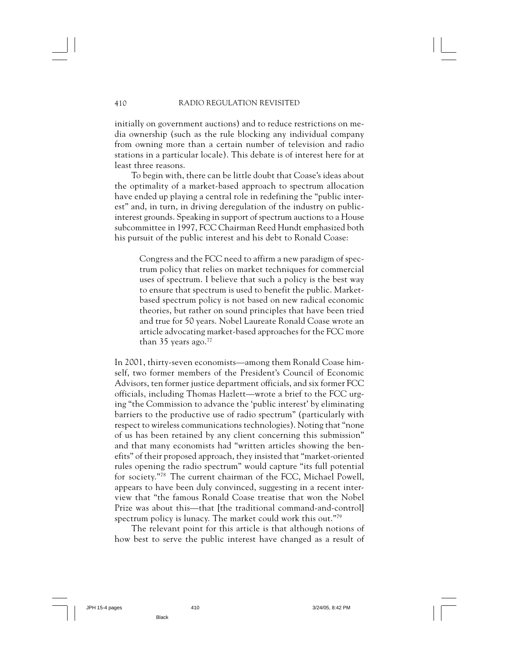initially on government auctions) and to reduce restrictions on media ownership (such as the rule blocking any individual company from owning more than a certain number of television and radio stations in a particular locale). This debate is of interest here for at least three reasons.

To begin with, there can be little doubt that Coase's ideas about the optimality of a market-based approach to spectrum allocation have ended up playing a central role in redefining the "public interest" and, in turn, in driving deregulation of the industry on publicinterest grounds. Speaking in support of spectrum auctions to a House subcommittee in 1997, FCC Chairman Reed Hundt emphasized both his pursuit of the public interest and his debt to Ronald Coase:

Congress and the FCC need to affirm a new paradigm of spectrum policy that relies on market techniques for commercial uses of spectrum. I believe that such a policy is the best way to ensure that spectrum is used to benefit the public. Marketbased spectrum policy is not based on new radical economic theories, but rather on sound principles that have been tried and true for 50 years. Nobel Laureate Ronald Coase wrote an article advocating market-based approaches for the FCC more than 35 years ago.<sup>77</sup>

In 2001, thirty-seven economists—among them Ronald Coase himself, two former members of the President's Council of Economic Advisors, ten former justice department officials, and six former FCC officials, including Thomas Hazlett—wrote a brief to the FCC urging "the Commission to advance the 'public interest' by eliminating barriers to the productive use of radio spectrum" (particularly with respect to wireless communications technologies). Noting that "none of us has been retained by any client concerning this submission" and that many economists had "written articles showing the benefits" of their proposed approach, they insisted that "market-oriented rules opening the radio spectrum" would capture "its full potential for society."78 The current chairman of the FCC, Michael Powell, appears to have been duly convinced, suggesting in a recent interview that "the famous Ronald Coase treatise that won the Nobel Prize was about this—that [the traditional command-and-control] spectrum policy is lunacy. The market could work this out."79

The relevant point for this article is that although notions of how best to serve the public interest have changed as a result of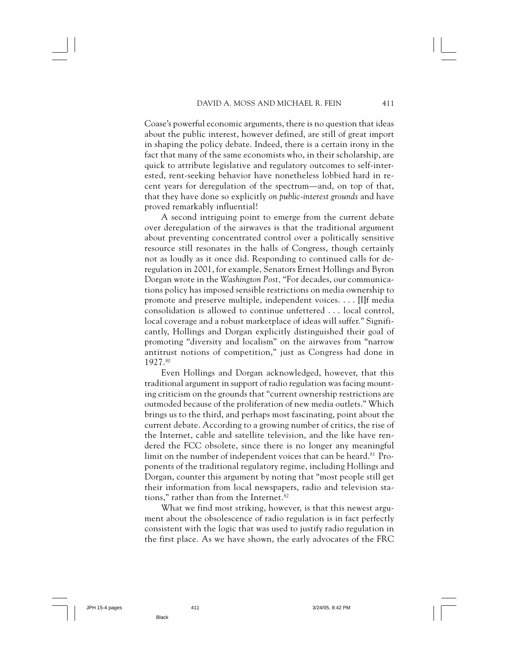Coase's powerful economic arguments, there is no question that ideas about the public interest, however defined, are still of great import in shaping the policy debate. Indeed, there is a certain irony in the fact that many of the same economists who, in their scholarship, are quick to attribute legislative and regulatory outcomes to self-interested, rent-seeking behavior have nonetheless lobbied hard in recent years for deregulation of the spectrum—and, on top of that, that they have done so explicitly *on public-interest grounds* and have proved remarkably influential!

A second intriguing point to emerge from the current debate over deregulation of the airwaves is that the traditional argument about preventing concentrated control over a politically sensitive resource still resonates in the halls of Congress, though certainly not as loudly as it once did. Responding to continued calls for deregulation in 2001, for example, Senators Ernest Hollings and Byron Dorgan wrote in the *Washington Post,* "For decades, our communications policy has imposed sensible restrictions on media ownership to promote and preserve multiple, independent voices. . . . [I]f media consolidation is allowed to continue unfettered . . . local control, local coverage and a robust marketplace of ideas will suffer." Significantly, Hollings and Dorgan explicitly distinguished their goal of promoting "diversity and localism" on the airwaves from "narrow antitrust notions of competition," just as Congress had done in 1927.80

Even Hollings and Dorgan acknowledged, however, that this traditional argument in support of radio regulation was facing mounting criticism on the grounds that "current ownership restrictions are outmoded because of the proliferation of new media outlets." Which brings us to the third, and perhaps most fascinating, point about the current debate. According to a growing number of critics, the rise of the Internet, cable and satellite television, and the like have rendered the FCC obsolete, since there is no longer any meaningful limit on the number of independent voices that can be heard.<sup>81</sup> Proponents of the traditional regulatory regime, including Hollings and Dorgan, counter this argument by noting that "most people still get their information from local newspapers, radio and television stations," rather than from the Internet.<sup>82</sup>

What we find most striking, however, is that this newest argument about the obsolescence of radio regulation is in fact perfectly consistent with the logic that was used to justify radio regulation in the first place. As we have shown, the early advocates of the FRC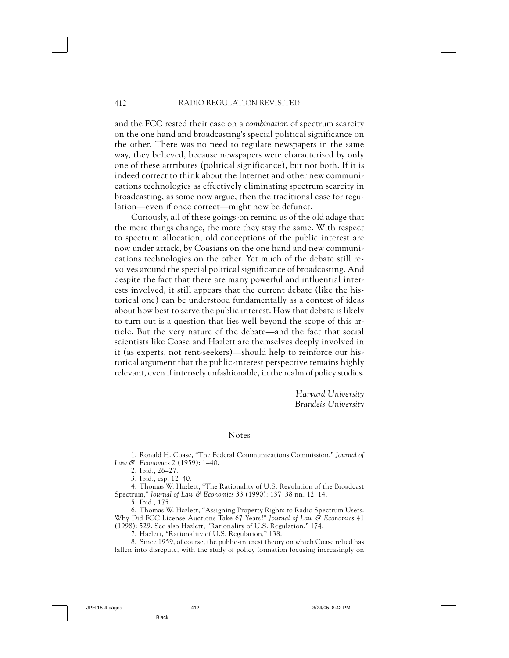and the FCC rested their case on a *combination* of spectrum scarcity on the one hand and broadcasting's special political significance on the other. There was no need to regulate newspapers in the same way, they believed, because newspapers were characterized by only one of these attributes (political significance), but not both. If it is indeed correct to think about the Internet and other new communications technologies as effectively eliminating spectrum scarcity in broadcasting, as some now argue, then the traditional case for regulation—even if once correct—might now be defunct.

Curiously, all of these goings-on remind us of the old adage that the more things change, the more they stay the same. With respect to spectrum allocation, old conceptions of the public interest are now under attack, by Coasians on the one hand and new communications technologies on the other. Yet much of the debate still revolves around the special political significance of broadcasting. And despite the fact that there are many powerful and influential interests involved, it still appears that the current debate (like the historical one) can be understood fundamentally as a contest of ideas about how best to serve the public interest. How that debate is likely to turn out is a question that lies well beyond the scope of this article. But the very nature of the debate—and the fact that social scientists like Coase and Hazlett are themselves deeply involved in it (as experts, not rent-seekers)—should help to reinforce our historical argument that the public-interest perspective remains highly relevant, even if intensely unfashionable, in the realm of policy studies.

> *Harvard University Brandeis University*

#### Notes

1. Ronald H. Coase, "The Federal Communications Commission," *Journal of Law & Economics* 2 (1959): 1–40.

2. Ibid., 26–27.

3. Ibid., esp. 12–40.

4. Thomas W. Hazlett, "The Rationality of U.S. Regulation of the Broadcast Spectrum," *Journal of Law & Economics* 33 (1990): 137–38 nn. 12–14.

5. Ibid., 175.

6. Thomas W. Hazlett, "Assigning Property Rights to Radio Spectrum Users: Why Did FCC License Auctions Take 67 Years?" *Journal of Law & Economics* 41 (1998): 529. See also Hazlett, "Rationality of U.S. Regulation," 174.

7. Hazlett, "Rationality of U.S. Regulation," 138.

8. Since 1959, of course, the public-interest theory on which Coase relied has fallen into disrepute, with the study of policy formation focusing increasingly on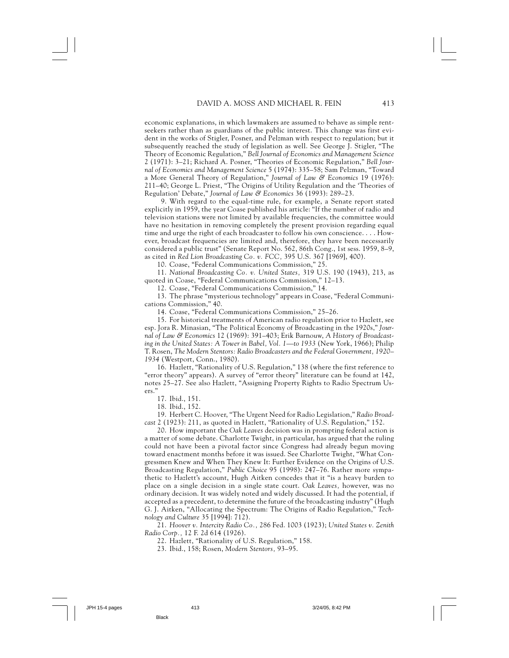economic explanations, in which lawmakers are assumed to behave as simple rentseekers rather than as guardians of the public interest. This change was first evident in the works of Stigler, Posner, and Pelzman with respect to regulation; but it subsequently reached the study of legislation as well. See George J. Stigler, "The Theory of Economic Regulation," *Bell Journal of Economics and Management Science* 2 (1971): 3–21; Richard A. Posner, "Theories of Economic Regulation," *Bell Journal of Economics and Management Science* 5 (1974): 335–58; Sam Pelzman, "Toward a More General Theory of Regulation," *Journal of Law & Economics* 19 (1976): 211–40; George L. Priest, "The Origins of Utility Regulation and the 'Theories of Regulation' Debate," *Journal of Law & Economics* 36 (1993): 289–23.

9. With regard to the equal-time rule, for example, a Senate report stated explicitly in 1959, the year Coase published his article: "If the number of radio and television stations were not limited by available frequencies, the committee would have no hesitation in removing completely the present provision regarding equal time and urge the right of each broadcaster to follow his own conscience. . . . However, broadcast frequencies are limited and, therefore, they have been necessarily considered a public trust" (Senate Report No. 562, 86th Cong., 1st sess. 1959, 8–9, as cited in *Red Lion Broadcasting Co. v. FCC,* 395 U.S. 367 [1969], 400).

10. Coase, "Federal Communications Commission," 25.

11. *National Broadcasting Co. v. United States,* 319 U.S. 190 (1943), 213, as quoted in Coase, "Federal Communications Commission," 12–13.

12. Coase, "Federal Communications Commission," 14.

13. The phrase "mysterious technology" appears in Coase, "Federal Communications Commission," 40.

14. Coase, "Federal Communications Commission," 25–26.

15. For historical treatments of American radio regulation prior to Hazlett, see esp. Jora R. Minasian, "The Political Economy of Broadcasting in the 1920s," *Journal of Law & Economics* 12 (1969): 391–403; Erik Barnouw, *A History of Broadcasting in the United States: A Tower in Babel, Vol. 1—to 1933* (New York, 1966); Philip T. Rosen, *The Modern Stentors: Radio Broadcasters and the Federal Government, 1920– 1934* (Westport, Conn., 1980).

16. Hazlett, "Rationality of U.S. Regulation," 138 (where the first reference to "error theory" appears). A survey of "error theory" literature can be found at 142, notes 25–27. See also Hazlett, "Assigning Property Rights to Radio Spectrum Users."

17. Ibid., 151.

18. Ibid., 152.

19. Herbert C. Hoover, "The Urgent Need for Radio Legislation," *Radio Broadcast* 2 (1923): 211, as quoted in Hazlett, "Rationality of U.S. Regulation," 152.

20. How important the *Oak Leaves* decision was in prompting federal action is a matter of some debate. Charlotte Twight, in particular, has argued that the ruling could not have been a pivotal factor since Congress had already begun moving toward enactment months before it was issued. See Charlotte Twight, "What Congressmen Knew and When They Knew It: Further Evidence on the Origins of U.S. Broadcasting Regulation," *Public Choice* 95 (1998): 247–76. Rather more sympathetic to Hazlett's account, Hugh Aitken concedes that it "is a heavy burden to place on a single decision in a single state court. *Oak Leaves,* however, was no ordinary decision. It was widely noted and widely discussed. It had the potential, if accepted as a precedent, to determine the future of the broadcasting industry" (Hugh G. J. Aitken, "Allocating the Spectrum: The Origins of Radio Regulation," *Technology and Culture* 35 [1994]: 712).

21. *Hoover v. Intercity Radio Co.,* 286 Fed. 1003 (1923); *United States v. Zenith Radio Corp.,* 12 F. 2d 614 (1926).

22. Hazlett, "Rationality of U.S. Regulation," 158.

23. Ibid., 158; Rosen, *Modern Stentors,* 93–95.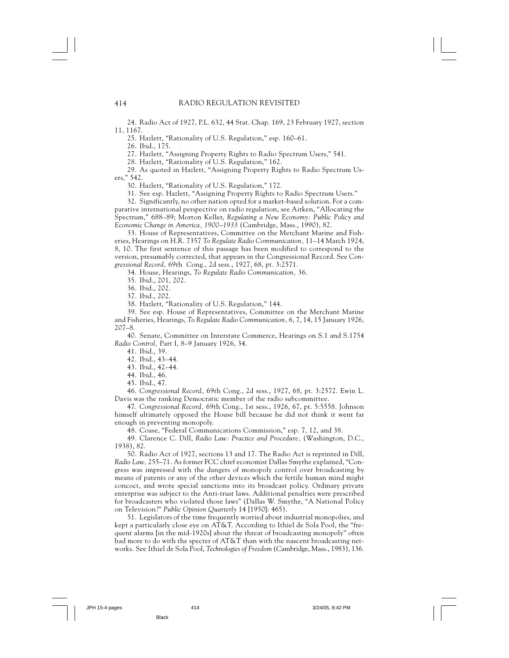24. Radio Act of 1927, P.L. 632, 44 Stat. Chap. 169, 23 February 1927, section 11, 1167.

25. Hazlett, "Rationality of U.S. Regulation," esp. 160–61.

26. Ibid., 175.

27. Hazlett, "Assigning Property Rights to Radio Spectrum Users," 541.

28. Hazlett, "Rationality of U.S. Regulation," 162.

29. As quoted in Hazlett, "Assigning Property Rights to Radio Spectrum Users," 542.

30. Hazlett, "Rationality of U.S. Regulation," 172.

31. See esp. Hazlett, "Assigning Property Rights to Radio Spectrum Users."

32. Significantly, no other nation opted for a market-based solution. For a comparative international perspective on radio regulation, see Aitken, "Allocating the Spectrum," 688–89; Morton Keller, *Regulating a New Economy: Public Policy and Economic Change in America, 1900–1933* (Cambridge, Mass., 1990), 82.

33. House of Representatives, Committee on the Merchant Marine and Fisheries, Hearings on H.R. 7357 *To Regulate Radio Communication,* 11–14 March 1924, 8, 10. The first sentence of this passage has been modified to correspond to the version, presumably corrected, that appears in the Congressional Record. See *Congressional Record,* 69th Cong., 2d sess., 1927, 68, pt. 3:2571.

34. House, Hearings, *To Regulate Radio Communication,* 36.

35. Ibid., 201, 202.

36. Ibid., 202.

37. Ibid., 202.

38. Hazlett, "Rationality of U.S. Regulation," 144.

39. See esp. House of Representatives, Committee on the Merchant Marine and Fisheries, Hearings, *To Regulate Radio Communication,* 6, 7, 14, 15 January 1926, 207–8.

40. Senate, Committee on Interstate Commerce, Hearings on S.1 and S.1754 *Radio Control,* Part I, 8–9 January 1926, 34.

41. Ibid., 39.

42. Ibid., 43–44.

43. Ibid., 42–44.

44. Ibid., 46.

45. Ibid., 47.

46. *Congressional Record,* 69th Cong., 2d sess., 1927, 68, pt. 3:2572. Ewin L. Davis was the ranking Democratic member of the radio subcommittee.

47. *Congressional Record,* 69th Cong., 1st sess., 1926, 67, pt. 5:5558. Johnson himself ultimately opposed the House bill because he did not think it went far enough in preventing monopoly.

48. Coase, "Federal Communications Commission," esp. 7, 12, and 38.

49. Clarence C. Dill, *Radio Law: Practice and Procedure,* (Washington, D.C., 1938), 82.

50. Radio Act of 1927, sections 13 and 17. The Radio Act is reprinted in Dill, *Radio Law,* 255–71. As former FCC chief economist Dallas Smythe explained, "Congress was impressed with the dangers of monopoly control over broadcasting by means of patents or any of the other devices which the fertile human mind might concoct, and wrote special sanctions into its broadcast policy. Ordinary private enterprise was subject to the Anti-trust laws. Additional penalties were prescribed for broadcasters who violated those laws" (Dallas W. Smythe, "A National Policy on Television?" *Public Opinion Quarterly* 14 [1950]: 465).

51. Legislators of the time frequently worried about industrial monopolies, and kept a particularly close eye on AT&T. According to Ithiel de Sola Pool, the "frequent alarms [in the mid-1920s] about the threat of broadcasting monopoly" often had more to do with the specter of AT&T than with the nascent broadcasting networks. See Ithiel de Sola Pool, *Technologies of Freedom* (Cambridge, Mass., 1983), 136.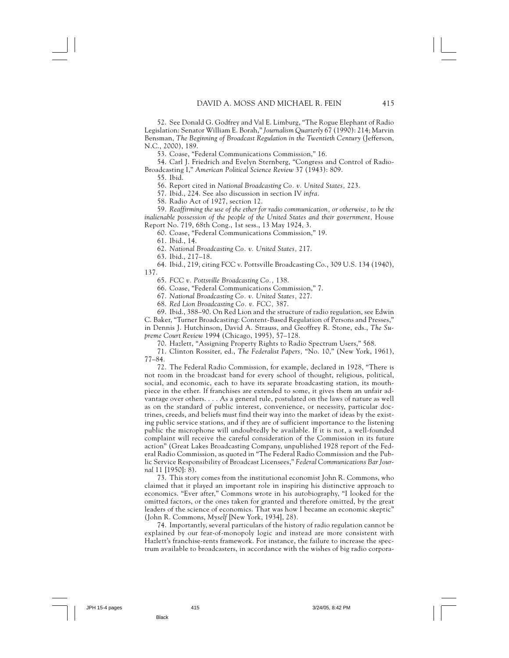52. See Donald G. Godfrey and Val E. Limburg, "The Rogue Elephant of Radio Legislation: Senator William E. Borah," *Journalism Quarterly* 67 (1990): 214; Marvin Bensman, *The Beginning of Broadcast Regulation in the Twentieth Century* (Jefferson, N.C., 2000), 189.

53. Coase, "Federal Communications Commission," 16.

54. Carl J. Friedrich and Evelyn Sternberg, "Congress and Control of Radio-Broadcasting I," *American Political Science Review* 37 (1943): 809.

55. Ibid.

56. Report cited in *National Broadcasting Co. v. United States,* 223.

57. Ibid., 224. See also discussion in section IV *infra.*

58. Radio Act of 1927, section 12.

59. *Reaffirming the use of the ether for radio communication, or otherwise, to be the inalienable possession of the people of the United States and their government,* House Report No. 719, 68th Cong., 1st sess., 13 May 1924, 3.

60. Coase, "Federal Communications Commission," 19.

61. Ibid., 14.

62. *National Broadcasting Co. v. United States,* 217.

63. Ibid., 217–18.

64. Ibid., 219, citing FCC v. Pottsville Broadcasting Co., 309 U.S. 134 (1940), 137.

65. *FCC v. Pottsville Broadcasting Co.,* 138.

66. Coase, "Federal Communications Commission," 7.

67. *National Broadcasting Co. v. United States,* 227.

68. *Red Lion Broadcasting Co. v. FCC,* 387.

69. Ibid., 388–90. On Red Lion and the structure of radio regulation, see Edwin C. Baker, "Turner Broadcasting: Content-Based Regulation of Persons and Presses," in Dennis J. Hutchinson, David A. Strauss, and Geoffrey R. Stone, eds., *The Supreme Court Review* 1994 (Chicago, 1995), 57–128.

70. Hazlett, "Assigning Property Rights to Radio Spectrum Users," 568.

71. Clinton Rossiter, ed., *The Federalist Papers,* "No. 10," (New York, 1961), 77–84.

72. The Federal Radio Commission, for example, declared in 1928, "There is not room in the broadcast band for every school of thought, religious, political, social, and economic, each to have its separate broadcasting station, its mouthpiece in the ether. If franchises are extended to some, it gives them an unfair advantage over others. . . . As a general rule, postulated on the laws of nature as well as on the standard of public interest, convenience, or necessity, particular doctrines, creeds, and beliefs must find their way into the market of ideas by the existing public service stations, and if they are of sufficient importance to the listening public the microphone will undoubtedly be available. If it is not, a well-founded complaint will receive the careful consideration of the Commission in its future action" (Great Lakes Broadcasting Company, unpublished 1928 report of the Federal Radio Commission, as quoted in "The Federal Radio Commission and the Public Service Responsibility of Broadcast Licensees," *Federal Communications Bar Journal* 11 [1950]: 8).

73. This story comes from the institutional economist John R. Commons, who claimed that it played an important role in inspiring his distinctive approach to economics. "Ever after," Commons wrote in his autobiography, "I looked for the omitted factors, or the ones taken for granted and therefore omitted, by the great leaders of the science of economics. That was how I became an economic skeptic" (John R. Commons, *Myself* [New York, 1934], 28).

74. Importantly, several particulars of the history of radio regulation cannot be explained by our fear-of-monopoly logic and instead are more consistent with Hazlett's franchise-rents framework. For instance, the failure to increase the spectrum available to broadcasters, in accordance with the wishes of big radio corpora-